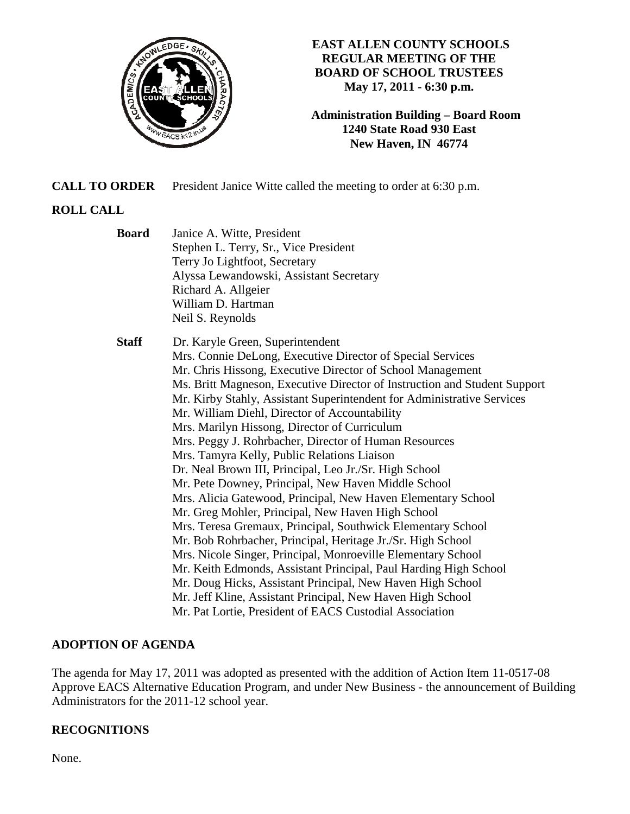

## **EAST ALLEN COUNTY SCHOOLS REGULAR MEETING OF THE BOARD OF SCHOOL TRUSTEES May 17, 2011 - 6:30 p.m.**

**Administration Building – Board Room 1240 State Road 930 East New Haven, IN 46774**

**CALL TO ORDER** President Janice Witte called the meeting to order at 6:30 p.m.

# **ROLL CALL**

 **Board** Janice A. Witte, President Stephen L. Terry, Sr., Vice President Terry Jo Lightfoot, Secretary Alyssa Lewandowski, Assistant Secretary Richard A. Allgeier William D. Hartman Neil S. Reynolds  **Staff** Dr. Karyle Green, Superintendent Mrs. Connie DeLong, Executive Director of Special Services Mr. Chris Hissong, Executive Director of School Management Ms. Britt Magneson, Executive Director of Instruction and Student Support Mr. Kirby Stahly, Assistant Superintendent for Administrative Services Mr. William Diehl, Director of Accountability Mrs. Marilyn Hissong, Director of Curriculum Mrs. Peggy J. Rohrbacher, Director of Human Resources Mrs. Tamyra Kelly, Public Relations Liaison Dr. Neal Brown III, Principal, Leo Jr./Sr. High School Mr. Pete Downey, Principal, New Haven Middle School Mrs. Alicia Gatewood, Principal, New Haven Elementary School Mr. Greg Mohler, Principal, New Haven High School Mrs. Teresa Gremaux, Principal, Southwick Elementary School Mr. Bob Rohrbacher, Principal, Heritage Jr./Sr. High School Mrs. Nicole Singer, Principal, Monroeville Elementary School Mr. Keith Edmonds, Assistant Principal, Paul Harding High School Mr. Doug Hicks, Assistant Principal, New Haven High School Mr. Jeff Kline, Assistant Principal, New Haven High School Mr. Pat Lortie, President of EACS Custodial Association

# **ADOPTION OF AGENDA**

The agenda for May 17, 2011 was adopted as presented with the addition of Action Item 11-0517-08 Approve EACS Alternative Education Program, and under New Business - the announcement of Building Administrators for the 2011-12 school year.

# **RECOGNITIONS**

None.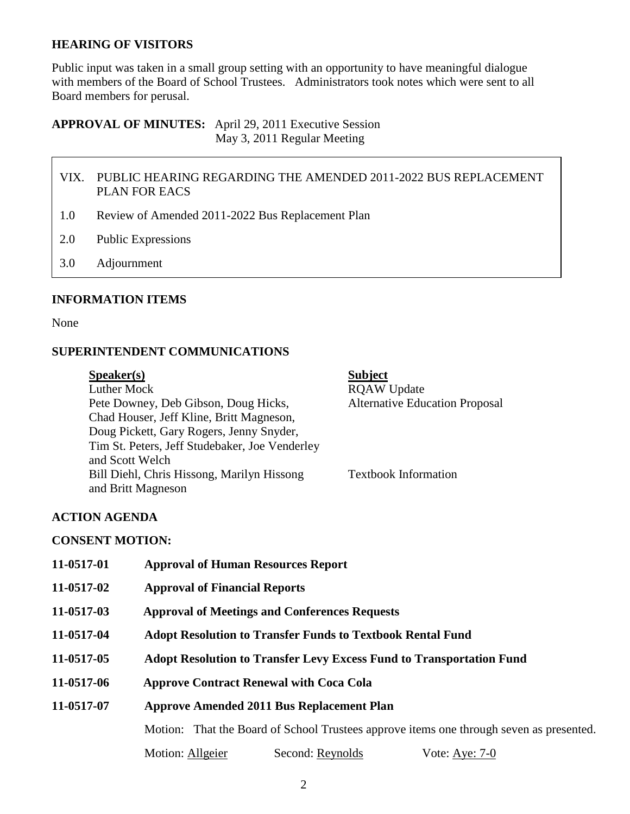### **HEARING OF VISITORS**

Public input was taken in a small group setting with an opportunity to have meaningful dialogue with members of the Board of School Trustees. Administrators took notes which were sent to all Board members for perusal.

**APPROVAL OF MINUTES:** April 29, 2011 Executive Session May 3, 2011 Regular Meeting

- VIX. PUBLIC HEARING REGARDING THE AMENDED 2011-2022 BUS REPLACEMENT PLAN FOR EACS
- 1.0 Review of Amended 2011-2022 Bus Replacement Plan
- 2.0 Public Expressions
- 3.0 Adjournment

#### **INFORMATION ITEMS**

None

#### **SUPERINTENDENT COMMUNICATIONS**

| S <sub>p</sub> e <sub>aker(s)</sub>            | <b>Subject</b>                        |
|------------------------------------------------|---------------------------------------|
| Luther Mock                                    | <b>RQAW Update</b>                    |
| Pete Downey, Deb Gibson, Doug Hicks,           | <b>Alternative Education Proposal</b> |
| Chad Houser, Jeff Kline, Britt Magneson,       |                                       |
| Doug Pickett, Gary Rogers, Jenny Snyder,       |                                       |
| Tim St. Peters, Jeff Studebaker, Joe Venderley |                                       |
| and Scott Welch                                |                                       |
| Bill Diehl, Chris Hissong, Marilyn Hissong     | <b>Textbook Information</b>           |
| and Britt Magneson                             |                                       |

#### **ACTION AGENDA**

#### **CONSENT MOTION:**

| 11-0517-01 | <b>Approval of Human Resources Report</b>                                                                                                   |  |
|------------|---------------------------------------------------------------------------------------------------------------------------------------------|--|
| 11-0517-02 | <b>Approval of Financial Reports</b>                                                                                                        |  |
| 11-0517-03 | <b>Approval of Meetings and Conferences Requests</b>                                                                                        |  |
| 11-0517-04 | <b>Adopt Resolution to Transfer Funds to Textbook Rental Fund</b>                                                                           |  |
| 11-0517-05 | <b>Adopt Resolution to Transfer Levy Excess Fund to Transportation Fund</b>                                                                 |  |
| 11-0517-06 | <b>Approve Contract Renewal with Coca Cola</b>                                                                                              |  |
| 11-0517-07 | <b>Approve Amended 2011 Bus Replacement Plan</b><br>Motion: That the Board of School Trustees approve items one through seven as presented. |  |
|            |                                                                                                                                             |  |
|            | Motion: Allgeier<br>Second: Reynolds<br>Vote: Aye: $7-0$                                                                                    |  |